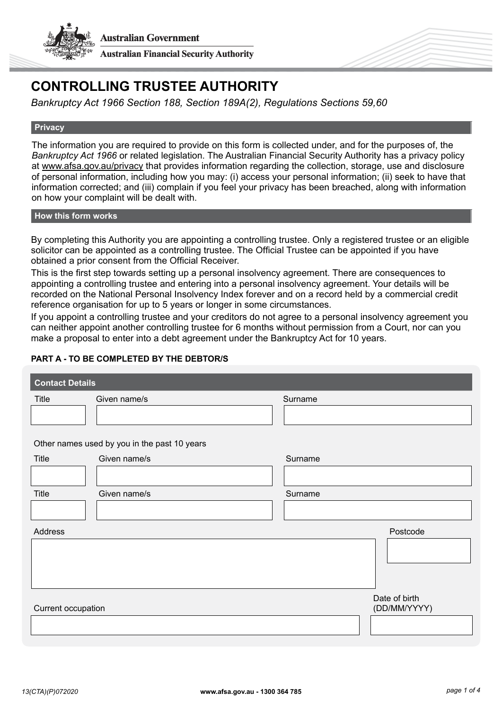



# **CONTROLLING TRUSTEE AUTHORITY**

*Bankruptcy Act 1966 Section 188, Section 189A(2), Regulations Sections 59,60*

#### **Privacy**

The information you are required to provide on this form is collected under, and for the purposes of, the *Bankruptcy Act 1966* or related legislation. The Australian Financial Security Authority has a privacy policy at [www.afsa.gov.au/privacy](https://www.afsa.gov.au/about-us/corporate-information/privacy) that provides information regarding the collection, storage, use and disclosure of personal information, including how you may: (i) access your personal information; (ii) seek to have that information corrected; and (iii) complain if you feel your privacy has been breached, along with information on how your complaint will be dealt with.

#### **How this form works**

By completing this Authority you are appointing a controlling trustee. Only a registered trustee or an eligible solicitor can be appointed as a controlling trustee. The Official Trustee can be appointed if you have obtained a prior consent from the Official Receiver.

This is the first step towards setting up a personal insolvency agreement. There are consequences to appointing a controlling trustee and entering into a personal insolvency agreement. Your details will be recorded on the National Personal Insolvency Index forever and on a record held by a commercial credit reference organisation for up to 5 years or longer in some circumstances.

If you appoint a controlling trustee and your creditors do not agree to a personal insolvency agreement you can neither appoint another controlling trustee for 6 months without permission from a Court, nor can you make a proposal to enter into a debt agreement under the Bankruptcy Act for 10 years.

## **PART A - TO BE COMPLETED BY THE DEBTOR/S**

| <b>Contact Details</b> |                                              |          |  |  |
|------------------------|----------------------------------------------|----------|--|--|
| Title                  | Given name/s                                 | Surname  |  |  |
|                        |                                              |          |  |  |
|                        |                                              |          |  |  |
|                        | Other names used by you in the past 10 years |          |  |  |
| Title                  | Given name/s                                 | Surname  |  |  |
|                        |                                              |          |  |  |
| Title                  | Given name/s                                 | Surname  |  |  |
|                        |                                              |          |  |  |
| Address                |                                              | Postcode |  |  |
|                        |                                              |          |  |  |
|                        |                                              |          |  |  |
|                        |                                              |          |  |  |
| Date of birth          |                                              |          |  |  |
| Current occupation     | (DD/MM/YYYY)                                 |          |  |  |
|                        |                                              |          |  |  |
|                        |                                              |          |  |  |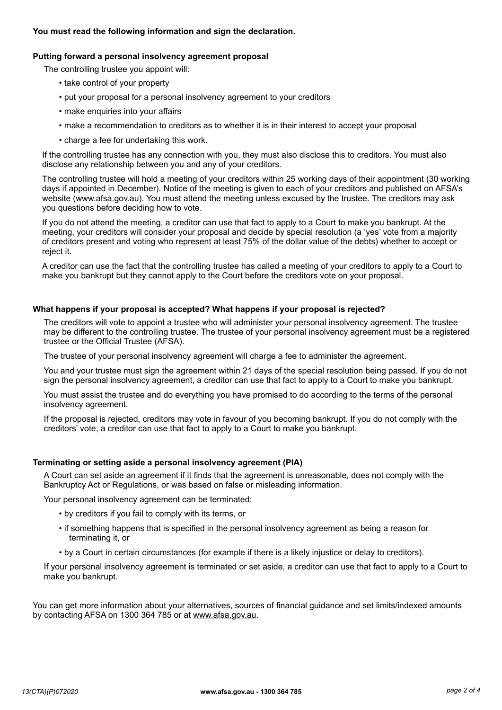#### **Putting forward a personal insolvency agreement proposal**

The controlling trustee you appoint will:

- take control of your property
- put your proposal for a personal insolvency agreement to your creditors
- make enquiries into your affairs
- make a recommendation to creditors as to whether it is in their interest to accept your proposal
- charge a fee for undertaking this work.

If the controlling trustee has any connection with you, they must also disclose this to creditors. You must also disclose any relationship between you and any of your creditors.

The controlling trustee will hold a meeting of your creditors within 25 working days of their appointment (30 working days if appointed in December). Notice of the meeting is given to each of your creditors and published on AFSA's website [\(www.afsa.gov.au\). Y](www.afsa.gov.au)ou must attend the meeting unless excused by the trustee. The creditors may ask you questions before deciding how to vote.

If you do not attend the meeting, a creditor can use that fact to apply to a Court to make you bankrupt. At the meeting, your creditors will consider your proposal and decide by special resolution (a 'yes' vote from a majority of creditors present and voting who represent at least 75% of the dollar value of the debts) whether to accept or reject it.

A creditor can use the fact that the controlling trustee has called a meeting of your creditors to apply to a Court to make you bankrupt but they cannot apply to the Court before the creditors vote on your proposal.

#### **What happens if your proposal is accepted? What happens if your proposal is rejected?**

The creditors will vote to appoint a trustee who will administer your personal insolvency agreement. The trustee may be different to the controlling trustee. The trustee of your personal insolvency agreement must be a registered trustee or the Official Trustee (AFSA).

The trustee of your personal insolvency agreement will charge a fee to administer the agreement.

You and your trustee must sign the agreement within 21 days of the special resolution being passed. If you do not sign the personal insolvency agreement, a creditor can use that fact to apply to a Court to make you bankrupt.

You must assist the trustee and do everything you have promised to do according to the terms of the personal insolvency agreement.

If the proposal is rejected, creditors may vote in favour of you becoming bankrupt. If you do not comply with the creditors' vote, a creditor can use that fact to apply to a Court to make you bankrupt.

#### **Terminating or setting aside a personal insolvency agreement (PIA)**

A Court can set aside an agreement if it finds that the agreement is unreasonable, does not comply with the Bankruptcy Act or Regulations, or was based on false or misleading information.

Your personal insolvency agreement can be terminated:

- by creditors if you fail to comply with its terms, or
- if something happens that is specified in the personal insolvency agreement as being a reason for terminating it, or
- by a Court in certain circumstances (for example if there is a likely injustice or delay to creditors).

If your personal insolvency agreement is terminated or set aside, a creditor can use that fact to apply to a Court to make you bankrupt.

You can get more information about your alternatives, sources of financial guidance and set limits/indexed amounts by contacting AFSA on 1300 364 785 or at [www.afsa.gov.au](http://www.afsa.gov.au).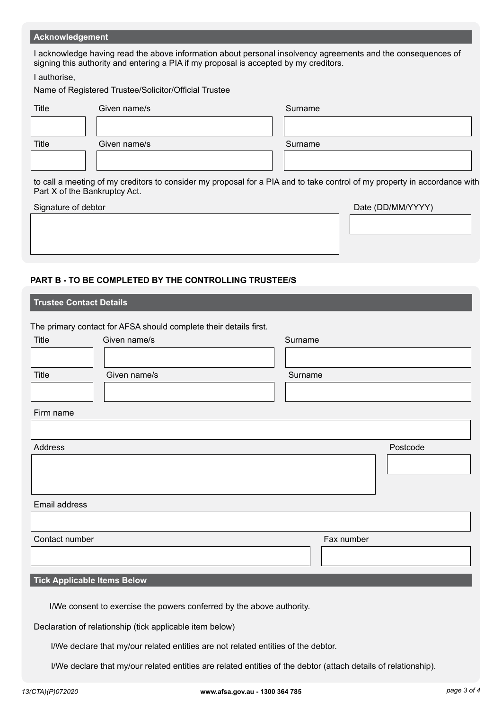#### **Acknowledgement**

I acknowledge having read the above information about personal insolvency agreements and the consequences of signing this authority and entering a PIA if my proposal is accepted by my creditors.

I authorise,

Name of Registered Trustee/Solicitor/Official Trustee

| <b>Title</b> | Given name/s | Surname |
|--------------|--------------|---------|
|              |              |         |
| Title        | Given name/s | Surname |
|              |              |         |

to call a meeting of my creditors to consider my proposal for a PIA and to take control of my property in accordance with Part X of the Bankruptcy Act.

| Signature of debtor | Date (DD/MM/YYYY) |  |  |
|---------------------|-------------------|--|--|
|                     |                   |  |  |
|                     |                   |  |  |
|                     |                   |  |  |

#### **PART B - TO BE COMPLETED BY THE CONTROLLING TRUSTEE/S**

| <b>Trustee Contact Details</b>                                                    |                                                                   |         |            |          |
|-----------------------------------------------------------------------------------|-------------------------------------------------------------------|---------|------------|----------|
|                                                                                   |                                                                   |         |            |          |
|                                                                                   | The primary contact for AFSA should complete their details first. |         |            |          |
| <b>Title</b>                                                                      | Given name/s                                                      | Surname |            |          |
|                                                                                   |                                                                   |         |            |          |
| <b>Title</b>                                                                      | Given name/s                                                      | Surname |            |          |
|                                                                                   |                                                                   |         |            |          |
| Firm name                                                                         |                                                                   |         |            |          |
|                                                                                   |                                                                   |         |            |          |
| Address                                                                           |                                                                   |         |            | Postcode |
|                                                                                   |                                                                   |         |            |          |
|                                                                                   |                                                                   |         |            |          |
| Email address                                                                     |                                                                   |         |            |          |
|                                                                                   |                                                                   |         |            |          |
| Contact number                                                                    |                                                                   |         | Fax number |          |
|                                                                                   |                                                                   |         |            |          |
| <b>Tick Applicable Items Below</b>                                                |                                                                   |         |            |          |
|                                                                                   |                                                                   |         |            |          |
| I/We consent to exercise the powers conferred by the above authority.             |                                                                   |         |            |          |
| Declaration of relationship (tick applicable item below)                          |                                                                   |         |            |          |
| I/We declare that my/our related entities are not related entities of the debtor. |                                                                   |         |            |          |

I/We declare that my/our related entities are related entities of the debtor (attach details of relationship).